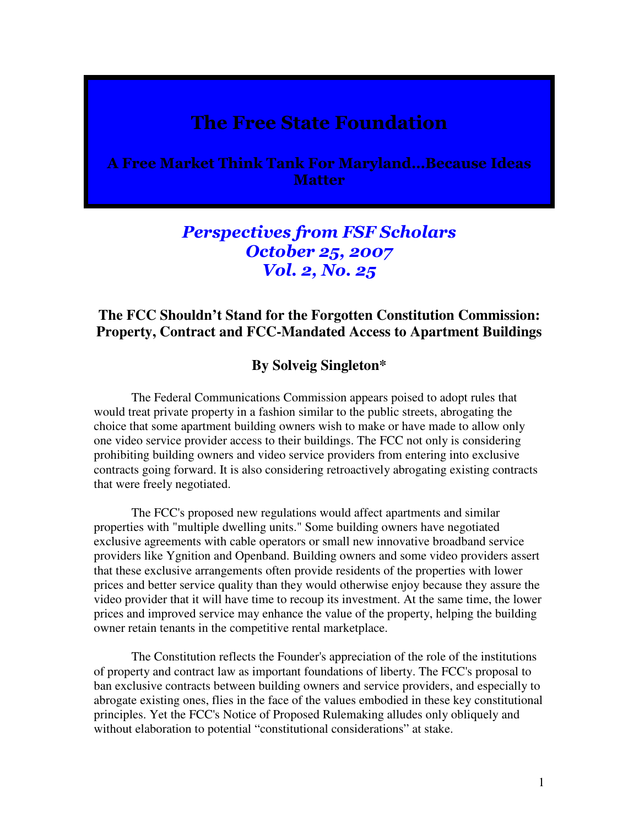## The Free State Foundation

A Free Market Think Tank For Maryland…Because Ideas **Matter** 

## Perspectives from FSF Scholars October 25, 2007 Vol. 2, No. 25

## **The FCC Shouldn't Stand for the Forgotten Constitution Commission: Property, Contract and FCC-Mandated Access to Apartment Buildings**

## **By Solveig Singleton\***

The Federal Communications Commission appears poised to adopt rules that would treat private property in a fashion similar to the public streets, abrogating the choice that some apartment building owners wish to make or have made to allow only one video service provider access to their buildings. The FCC not only is considering prohibiting building owners and video service providers from entering into exclusive contracts going forward. It is also considering retroactively abrogating existing contracts that were freely negotiated.

The FCC's proposed new regulations would affect apartments and similar properties with "multiple dwelling units." Some building owners have negotiated exclusive agreements with cable operators or small new innovative broadband service providers like Ygnition and Openband. Building owners and some video providers assert that these exclusive arrangements often provide residents of the properties with lower prices and better service quality than they would otherwise enjoy because they assure the video provider that it will have time to recoup its investment. At the same time, the lower prices and improved service may enhance the value of the property, helping the building owner retain tenants in the competitive rental marketplace.

The Constitution reflects the Founder's appreciation of the role of the institutions of property and contract law as important foundations of liberty. The FCC's proposal to ban exclusive contracts between building owners and service providers, and especially to abrogate existing ones, flies in the face of the values embodied in these key constitutional principles. Yet the FCC's Notice of Proposed Rulemaking alludes only obliquely and without elaboration to potential "constitutional considerations" at stake.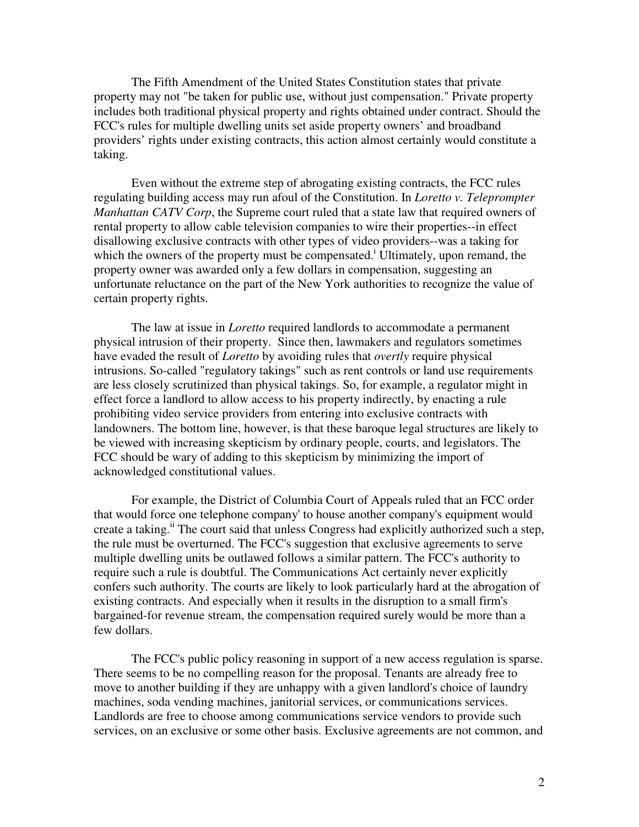The Fifth Amendment of the United States Constitution states that private property may not "be taken for public use, without just compensation." Private property includes both traditional physical property and rights obtained under contract. Should the FCC's rules for multiple dwelling units set aside property owners' and broadband providers' rights under existing contracts, this action almost certainly would constitute a taking.

Even without the extreme step of abrogating existing contracts, the FCC rules regulating building access may run afoul of the Constitution. In *Loretto v. Teleprompter Manhattan CATV Corp*, the Supreme court ruled that a state law that required owners of rental property to allow cable television companies to wire their properties--in effect disallowing exclusive contracts with other types of video providers--was a taking for which the owners of the property must be compensated.<sup>i</sup> Ultimately, upon remand, the property owner was awarded only a few dollars in compensation, suggesting an unfortunate reluctance on the part of the New York authorities to recognize the value of certain property rights.

The law at issue in *Loretto* required landlords to accommodate a permanent physical intrusion of their property. Since then, lawmakers and regulators sometimes have evaded the result of *Loretto* by avoiding rules that *overtly* require physical intrusions. So-called "regulatory takings" such as rent controls or land use requirements are less closely scrutinized than physical takings. So, for example, a regulator might in effect force a landlord to allow access to his property indirectly, by enacting a rule prohibiting video service providers from entering into exclusive contracts with landowners. The bottom line, however, is that these baroque legal structures are likely to be viewed with increasing skepticism by ordinary people, courts, and legislators. The FCC should be wary of adding to this skepticism by minimizing the import of acknowledged constitutional values.

For example, the District of Columbia Court of Appeals ruled that an FCC order that would force one telephone company' to house another company's equipment would create a taking.<sup>ii</sup> The court said that unless Congress had explicitly authorized such a step, the rule must be overturned. The FCC's suggestion that exclusive agreements to serve multiple dwelling units be outlawed follows a similar pattern. The FCC's authority to require such a rule is doubtful. The Communications Act certainly never explicitly confers such authority. The courts are likely to look particularly hard at the abrogation of existing contracts. And especially when it results in the disruption to a small firm's bargained-for revenue stream, the compensation required surely would be more than a few dollars.

The FCC's public policy reasoning in support of a new access regulation is sparse. There seems to be no compelling reason for the proposal. Tenants are already free to move to another building if they are unhappy with a given landlord's choice of laundry machines, soda vending machines, janitorial services, or communications services. Landlords are free to choose among communications service vendors to provide such services, on an exclusive or some other basis. Exclusive agreements are not common, and